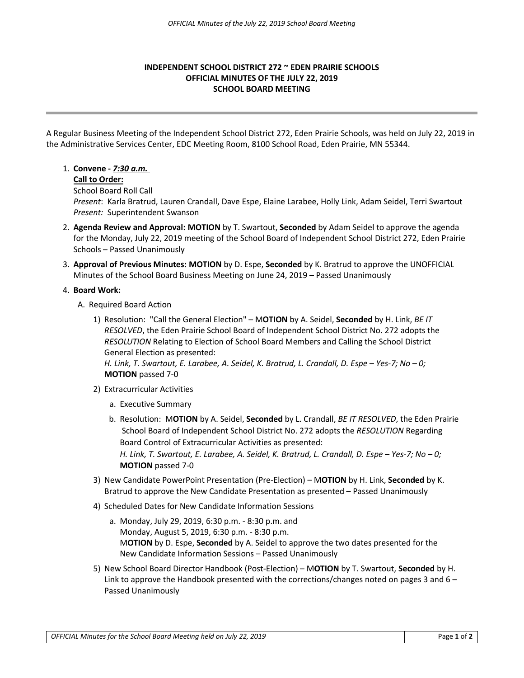# **INDEPENDENT SCHOOL DISTRICT 272 ~ EDEN PRAIRIE SCHOOLS OFFICIAL MINUTES OF THE JULY 22, 2019 SCHOOL BOARD MEETING**

A Regular Business Meeting of the Independent School District 272, Eden Prairie Schools, was held on July 22, 2019 in the Administrative Services Center, EDC Meeting Room, 8100 School Road, Eden Prairie, MN 55344.

# 1. **Convene -** *7:30 a.m.*

## **Call to Order:**

School Board Roll Call

*Present*: Karla Bratrud, Lauren Crandall, Dave Espe, Elaine Larabee, Holly Link, Adam Seidel, Terri Swartout *Present:* Superintendent Swanson

- 2. **Agenda Review and Approval: MOTION** by T. Swartout, **Seconded** by Adam Seidel to approve the agenda for the Monday, July 22, 2019 meeting of the School Board of Independent School District 272, Eden Prairie Schools – Passed Unanimously
- 3. **Approval of Previous Minutes: MOTION** by D. Espe, **Seconded** by K. Bratrud to approve the UNOFFICIAL Minutes of the School Board Business Meeting on June 24, 2019 – Passed Unanimously

## 4. **Board Work:**

- A. Required Board Action
	- 1) Resolution: "Call the General Election" M**OTION** by A. Seidel, **Seconded** by H. Link, *BE IT RESOLVED*, the Eden Prairie School Board of Independent School District No. 272 adopts the *RESOLUTION* Relating to Election of School Board Members and Calling the School District General Election as presented:

*H. Link, T. Swartout, E. Larabee, A. Seidel, K. Bratrud, L. Crandall, D. Espe – Yes-7; No – 0;* **MOTION** passed 7-0

- 2) Extracurricular Activities
	- a. Executive Summary
	- b. Resolution: M**OTION** by A. Seidel, **Seconded** by L. Crandall, *BE IT RESOLVED*, the Eden Prairie School Board of Independent School District No. 272 adopts the *RESOLUTION* Regarding Board Control of Extracurricular Activities as presented: *H. Link, T. Swartout, E. Larabee, A. Seidel, K. Bratrud, L. Crandall, D. Espe – Yes-7; No – 0;* **MOTION** passed 7-0
- 3) New Candidate PowerPoint Presentation (Pre-Election) M**OTION** by H. Link, **Seconded** by K. Bratrud to approve the New Candidate Presentation as presented – Passed Unanimously
- 4) Scheduled Dates for New Candidate Information Sessions
	- a. Monday, July 29, 2019, 6:30 p.m. 8:30 p.m. and Monday, August 5, 2019, 6:30 p.m. - 8:30 p.m. M**OTION** by D. Espe, **Seconded** by A. Seidel to approve the two dates presented for the New Candidate Information Sessions – Passed Unanimously
- 5) New School Board Director Handbook (Post-Election) M**OTION** by T. Swartout, **Seconded** by H. Link to approve the Handbook presented with the corrections/changes noted on pages 3 and  $6-$ Passed Unanimously